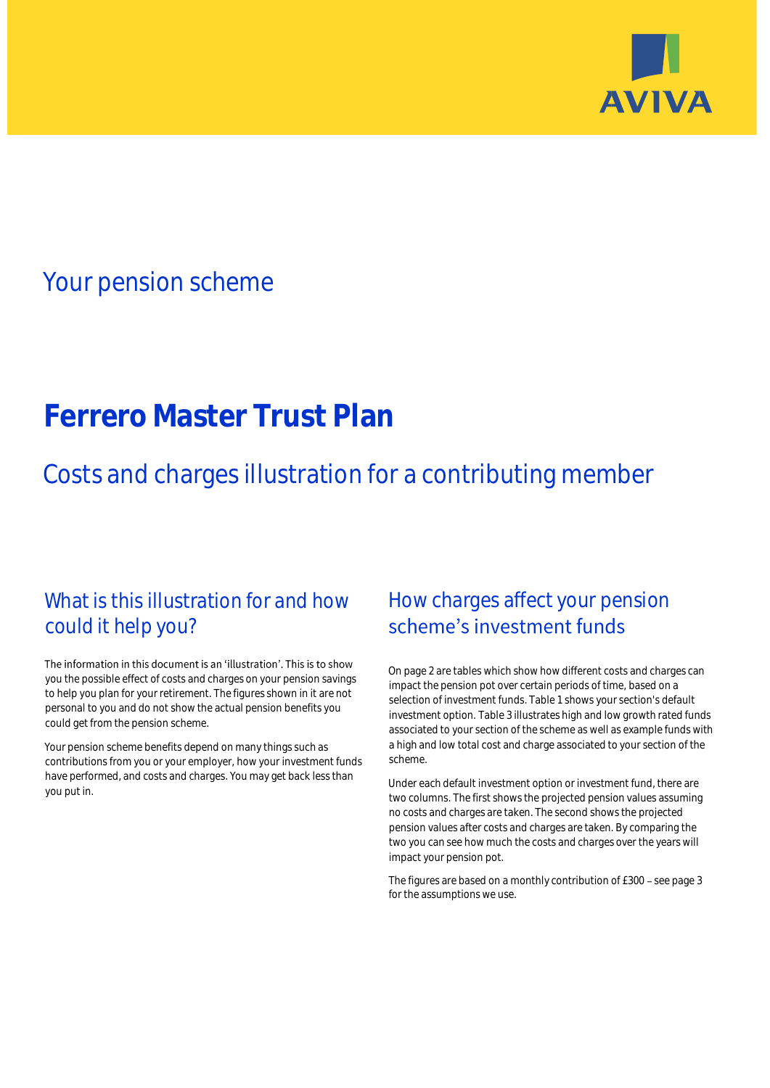

## Your pension scheme

# **Ferrero Master Trust Plan**

Costs and charges illustration for a contributing member

### What is this illustration for and how could it help you?

#### The information in this document is an 'illustration'. This is to show you the possible effect of costs and charges on your pension savings to help you plan for your retirement. The figures shown in it are not personal to you and do not show the actual pension benefits you could get from the pension scheme.

Your pension scheme benefits depend on many things such as contributions from you or your employer, how your investment funds have performed, and costs and charges. You may get back less than you put in.

### How charges affect your pension scheme's investment funds

On page 2 are tables which show how different costs and charges can impact the pension pot over certain periods of time, based on a selection of investment funds. Table 1 shows your section's default investment option. Table 3 illustrates high and low growth rated funds associated to your section of the scheme as well as example funds with a high and low total cost and charge associated to your section of the scheme.

Under each default investment option or investment fund, there are two columns. The first shows the projected pension values assuming no costs and charges are taken. The second shows the projected pension values after costs and charges are taken. By comparing the two you can see how much the costs and charges over the years will impact your pension pot.

The figures are based on a monthly contribution of £300 - see page 3 for the assumptions we use.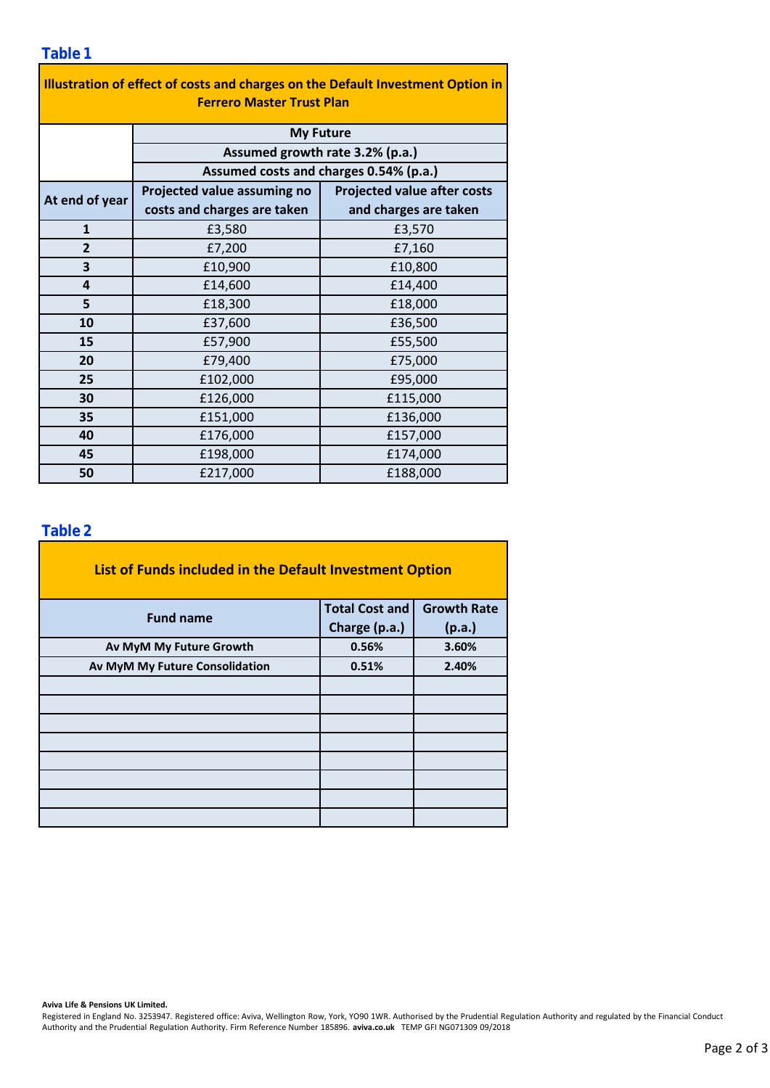| Illustration of effect of costs and charges on the Default Investment Option in<br><b>Ferrero Master Trust Plan</b> |                                        |                                    |  |  |  |  |  |
|---------------------------------------------------------------------------------------------------------------------|----------------------------------------|------------------------------------|--|--|--|--|--|
|                                                                                                                     | <b>My Future</b>                       |                                    |  |  |  |  |  |
| Assumed growth rate 3.2% (p.a.)                                                                                     |                                        |                                    |  |  |  |  |  |
|                                                                                                                     | Assumed costs and charges 0.54% (p.a.) |                                    |  |  |  |  |  |
| At end of year                                                                                                      | Projected value assuming no            | <b>Projected value after costs</b> |  |  |  |  |  |
|                                                                                                                     | costs and charges are taken            | and charges are taken              |  |  |  |  |  |
| $\mathbf{1}$                                                                                                        | £3,580                                 | £3,570                             |  |  |  |  |  |
| $\overline{2}$                                                                                                      | £7,200                                 | £7,160                             |  |  |  |  |  |
| 3                                                                                                                   | £10,900                                | £10,800                            |  |  |  |  |  |
| 4                                                                                                                   | £14,600                                | £14,400                            |  |  |  |  |  |
| 5                                                                                                                   | £18,300                                | £18,000                            |  |  |  |  |  |
| 10                                                                                                                  | £37,600                                | £36,500                            |  |  |  |  |  |
| 15                                                                                                                  | £57,900                                | £55,500                            |  |  |  |  |  |
| 20                                                                                                                  | £79,400                                | £75,000                            |  |  |  |  |  |
| 25                                                                                                                  | £102,000                               | £95,000                            |  |  |  |  |  |
| 30                                                                                                                  | £126,000                               | £115,000                           |  |  |  |  |  |
| 35                                                                                                                  | £151,000                               | £136,000                           |  |  |  |  |  |
| 40                                                                                                                  | £176,000                               | £157,000                           |  |  |  |  |  |
| 45                                                                                                                  | £198,000                               | £174,000                           |  |  |  |  |  |
| 50                                                                                                                  | £217,000                               | £188,000                           |  |  |  |  |  |

### **Table 2**

| List of Funds included in the Default Investment Option |                       |                    |
|---------------------------------------------------------|-----------------------|--------------------|
| <b>Fund name</b>                                        | <b>Total Cost and</b> | <b>Growth Rate</b> |
|                                                         | Charge (p.a.)         | (p.a.)             |
| Av MyM My Future Growth                                 | 0.56%                 | 3.60%              |
| Av MyM My Future Consolidation                          | 0.51%                 | 2.40%              |
|                                                         |                       |                    |
|                                                         |                       |                    |
|                                                         |                       |                    |
|                                                         |                       |                    |
|                                                         |                       |                    |
|                                                         |                       |                    |
|                                                         |                       |                    |
|                                                         |                       |                    |

#### **Aviva Life & Pensions UK Limited.**

Registered in England No. 3253947. Registered office: Aviva, Wellington Row, York, YO90 1WR. Authorised by the Prudential Regulation Authority and regulated by the Financial Conduct Authority and the Prudential Regulation Authority. Firm Reference Number 185896. **aviva.co.uk** TEMP GFI NG071309 09/2018